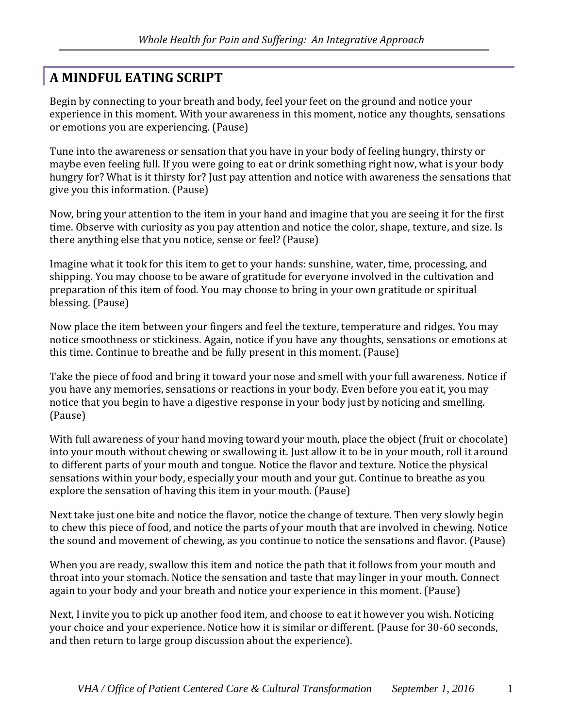## **A MINDFUL EATING SCRIPT**

Begin by connecting to your breath and body, feel your feet on the ground and notice your experience in this moment. With your awareness in this moment, notice any thoughts, sensations or emotions you are experiencing. (Pause)

Tune into the awareness or sensation that you have in your body of feeling hungry, thirsty or maybe even feeling full. If you were going to eat or drink something right now, what is your body hungry for? What is it thirsty for? Just pay attention and notice with awareness the sensations that give you this information. (Pause)

Now, bring your attention to the item in your hand and imagine that you are seeing it for the first time. Observe with curiosity as you pay attention and notice the color, shape, texture, and size. Is there anything else that you notice, sense or feel? (Pause)

Imagine what it took for this item to get to your hands: sunshine, water, time, processing, and shipping. You may choose to be aware of gratitude for everyone involved in the cultivation and preparation of this item of food. You may choose to bring in your own gratitude or spiritual blessing. (Pause)

Now place the item between your fingers and feel the texture, temperature and ridges. You may notice smoothness or stickiness. Again, notice if you have any thoughts, sensations or emotions at this time. Continue to breathe and be fully present in this moment. (Pause)

Take the piece of food and bring it toward your nose and smell with your full awareness. Notice if you have any memories, sensations or reactions in your body. Even before you eat it, you may notice that you begin to have a digestive response in your body just by noticing and smelling. (Pause)

With full awareness of your hand moving toward your mouth, place the object (fruit or chocolate) into your mouth without chewing or swallowing it. Just allow it to be in your mouth, roll it around to different parts of your mouth and tongue. Notice the flavor and texture. Notice the physical sensations within your body, especially your mouth and your gut. Continue to breathe as you explore the sensation of having this item in your mouth. (Pause)

Next take just one bite and notice the flavor, notice the change of texture. Then very slowly begin to chew this piece of food, and notice the parts of your mouth that are involved in chewing. Notice the sound and movement of chewing, as you continue to notice the sensations and flavor. (Pause)

When you are ready, swallow this item and notice the path that it follows from your mouth and throat into your stomach. Notice the sensation and taste that may linger in your mouth. Connect again to your body and your breath and notice your experience in this moment. (Pause)

Next, I invite you to pick up another food item, and choose to eat it however you wish. Noticing your choice and your experience. Notice how it is similar or different. (Pause for 30-60 seconds, and then return to large group discussion about the experience).